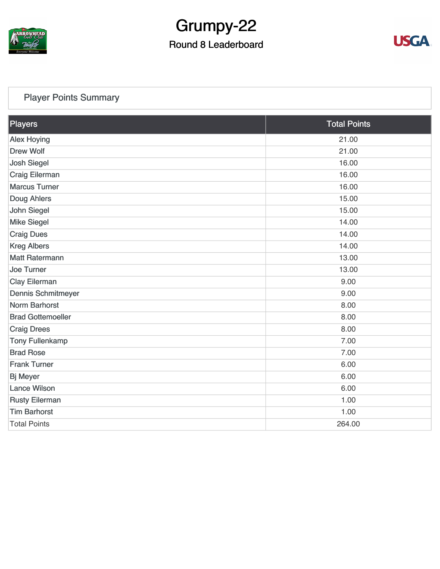

# Grumpy-22

## Round 8 Leaderboard



### [Player Points Summary](https://static.golfgenius.com/v2tournaments/total_points?league_id=8123139340541895924&round_id=8123140178932934007)

| Players                   | <b>Total Points</b> |  |
|---------------------------|---------------------|--|
| <b>Alex Hoying</b>        | 21.00               |  |
| <b>Drew Wolf</b>          | 21.00               |  |
| <b>Josh Siegel</b>        | 16.00               |  |
| <b>Craig Eilerman</b>     | 16.00               |  |
| <b>Marcus Turner</b>      | 16.00               |  |
| Doug Ahlers               | 15.00               |  |
| <b>John Siegel</b>        | 15.00               |  |
| <b>Mike Siegel</b>        | 14.00               |  |
| <b>Craig Dues</b>         | 14.00               |  |
| <b>Kreg Albers</b>        | 14.00               |  |
| <b>Matt Ratermann</b>     | 13.00               |  |
| <b>Joe Turner</b>         | 13.00               |  |
| <b>Clay Eilerman</b>      | 9.00                |  |
| <b>Dennis Schmitmeyer</b> | 9.00                |  |
| <b>Norm Barhorst</b>      | 8.00                |  |
| <b>Brad Gottemoeller</b>  | 8.00                |  |
| <b>Craig Drees</b>        | 8.00                |  |
| <b>Tony Fullenkamp</b>    | 7.00                |  |
| <b>Brad Rose</b>          | 7.00                |  |
| <b>Frank Turner</b>       | 6.00                |  |
| <b>Bj Meyer</b>           | 6.00                |  |
| <b>Lance Wilson</b>       | 6.00                |  |
| <b>Rusty Eilerman</b>     | 1.00                |  |
| <b>Tim Barhorst</b>       | 1.00                |  |
| <b>Total Points</b>       | 264.00              |  |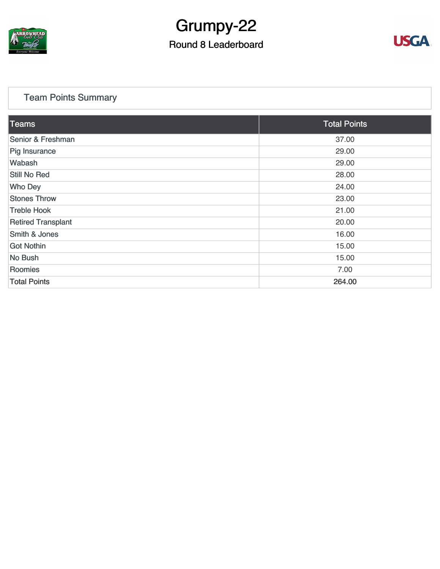

# Grumpy-22

## Round 8 Leaderboard



### [Team Points Summary](https://static.golfgenius.com/v2tournaments/team_points?league_id=8123139340541895924&round_id=8123140178932934007)

| Teams                     | <b>Total Points</b> |  |
|---------------------------|---------------------|--|
| Senior & Freshman         | 37.00               |  |
| Pig Insurance             | 29.00               |  |
| Wabash                    | 29.00               |  |
| Still No Red              | 28.00               |  |
| <b>Who Dey</b>            | 24.00               |  |
| <b>Stones Throw</b>       | 23.00               |  |
| <b>Treble Hook</b>        | 21.00               |  |
| <b>Retired Transplant</b> | 20.00               |  |
| Smith & Jones             | 16.00               |  |
| <b>Got Nothin</b>         | 15.00               |  |
| No Bush                   | 15.00               |  |
| Roomies                   | 7.00                |  |
| <b>Total Points</b>       | 264.00              |  |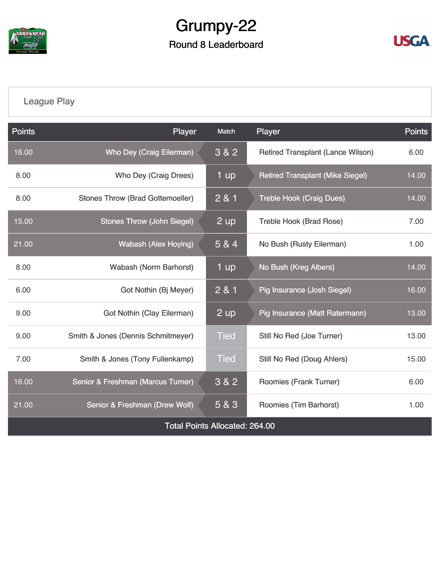

## Grumpy-22 Round 8 Leaderboard



## [League Play](https://static.golfgenius.com/v2tournaments/8123149400630371496?called_from=&round_index=8)

| <b>Points</b>                         | Player                                        | Match       | Player                                   | <b>Points</b> |  |  |
|---------------------------------------|-----------------------------------------------|-------------|------------------------------------------|---------------|--|--|
| 16.00                                 | <b>Who Dey (Craig Eilerman)</b>               | $3 & 2$     | <b>Retired Transplant (Lance Wilson)</b> | 6.00          |  |  |
| 8.00                                  | Who Dey (Craig Drees)                         | 1 up        | <b>Retired Transplant (Mike Siegel)</b>  | 14.00         |  |  |
| 8.00                                  | <b>Stones Throw (Brad Gottemoeller)</b>       | 2 & 1       | <b>Treble Hook (Craig Dues)</b>          | 14.00         |  |  |
| 15.00                                 | <b>Stones Throw (John Siegel)</b>             | 2 up        | <b>Treble Hook (Brad Rose)</b>           | 7.00          |  |  |
| $\overline{21.00}$                    | <b>Wabash (Alex Hoying)</b>                   | 5 & 4       | No Bush (Rusty Eilerman)                 | 1.00          |  |  |
| 8.00                                  | <b>Wabash (Norm Barhorst)</b>                 | 1 up        | No Bush (Kreg Albers)                    | 14.00         |  |  |
| 6.00                                  | Got Nothin (Bj Meyer)                         | 2 & 1       | Pig Insurance (Josh Siegel)              | 16.00         |  |  |
| 9.00                                  | <b>Got Nothin (Clay Eilerman)</b>             | 2 up        | Pig Insurance (Matt Ratermann)           | 13.00         |  |  |
| 9.00                                  | <b>Smith &amp; Jones (Dennis Schmitmeyer)</b> | <b>Tied</b> | Still No Red (Joe Turner)                | 13.00         |  |  |
| 7.00                                  | Smith & Jones (Tony Fullenkamp)               | <b>Tied</b> | Still No Red (Doug Ahlers)               | 15.00         |  |  |
| 16.00                                 | Senior & Freshman (Marcus Turner)             | $3&8&2$     | Roomies (Frank Turner)                   |               |  |  |
| 21.00                                 | Senior & Freshman (Drew Wolf)                 | 5 & 3       | Roomies (Tim Barhorst)                   | 1.00          |  |  |
| <b>Total Points Allocated: 264.00</b> |                                               |             |                                          |               |  |  |